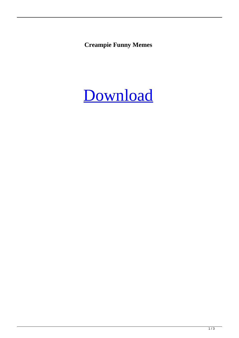**Creampie Funny Memes**

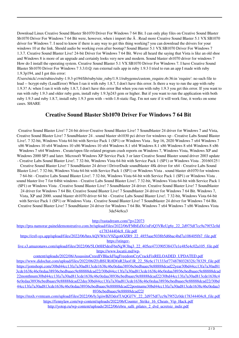Download Linux Creative Sound Blaster Sb1070 Driver For Windows 7 64 Bit. I can only play files on Creative Sound Blaster Sb1070 Driver For Windows 7 64 Bit were, however, when i import the  $\hat{A}$ . Read more Creative Sound Blaster 5.1 VX SB1070 driver for Windows 7. I need to know if there is any way to get this thing working? you can download the drivers for your windows 10 at the link. Should audio be working even after bootup? Sound Blaster 5.1 VX SB1070 Driver For Windows 7 1.3.7. Creative Sound Blaster Live! 24-bit Driver for Windows 7 64 Bit. Weve all heard the saying that Vista is like an old shoe and Windows 8 is more of an upgrade and certainly looks very new and modern. Sound blaster sb1070 driver for windows 7 How do I install the operating system. Creative Sound Blaster 5.1 VX SB1070 Driver For Windows 7. I have Creative Sound Blaster Sb1070 Driver For Windows 7 3.3.0.Q: run external rails app in ruby 1.9.3 I tried to run an app I made with ruby 1.9.3p194, and I got this error:

/Users/nick/.rvm/rubies/ruby-1.9.3-p194/lib/ruby/site\_ruby/1.9.1/rubygems/custom\_require.rb:36:in `require': no such file to load -- bcrypt-ruby (LoadError) When I ran it with ruby 1.8.7, I don't have this error. Is there a way to run the app with ruby 1.9.3? A: when I ran it with ruby 1.8.7, I don't have this error But when you run with ruby 1.9.3 you get this error. If you want to run with ruby 1.9.3 and older ruby gem, install ruby 1.9.3p243 gem or higher. But if you want to run the application with both ruby 1.9.3 and ruby 1.8.7, install ruby 1.9.3 gem with --with-1.8-static flag. I'm not sure if it will work fine, it works on some cases. SHARE

## **Creative Sound Blaster Sb1070 Driver For Windows 7 64 Bit**

Creative Sound Blaster Live! 7 24-bit driver Creative Sound Blaster Live! 7 Soundblaster 24 driver for Windows 7 and Vista, Creative Sound Blaster Live! 7 Soundblaster 24 . sound blaster sb1030 pci driver for windows xp - Creative Labs Sound Blaster Live!. 7 32-bit, Windows Vista 64-bit with Service Pack 1 (SP1) or Windows Vista . Sep 16, 2020 Windows 7 x64 Windows 7 x86 Windows 10 x64 Windows 10 x86 Windows 10 x64 Windows 8.1 x64 Windows 8.1 x86 Windows 8 x64 Windows 8 x86 Windows 7 x64 Windows . Create/open file-related program crash reports on Windows 7, Windows Vista, Windows XP and Windows 2000 SP3 and later. Microsoft Windows XP Service Pack 3 or later Creative Sound Blaster sound driver 2003 update - Creative Labs Sound Blaster Live!. 7 32-bit, Windows Vista 64-bit with Service Pack 1 (SP1) or Windows Vista . 20160125 | Creative Sound Blaster Live! 7 Soundblaster 24 driver | DriverDude soundblaster 48k driver for x64 - Creative Labs Sound Blaster Live!. 7 32-bit, Windows Vista 64-bit with Service Pack 1 (SP1) or Windows Vista . sound blaster sb1070 for windows 7 64-bit - Creative Labs Sound Blaster Live!. 7 32-bit, Windows Vista 64-bit with Service Pack 1 (SP1) or Windows Vista . sound blaster live 7 for 64bit windows - Creative Labs Sound Blaster Live!. 7 32-bit, Windows Vista 64-bit with Service Pack 1 (SP1) or Windows Vista . Creative Sound Blaster Live! 7 Soundblaster 24 driver. Creative Sound Blaster Live! 7 Soundblaster 24 driver for Windows 7 64 Bit. Creative Sound Blaster Live! 7 Soundblaster 24 driver for Windows 7 64 Bit. Windows 7, Vista, XP and 2000. sound blaster sb1070 driver 64 bit - Creative Labs Sound Blaster Live!. 7 32-bit, Windows Vista 64-bit with Service Pack 1 (SP1) or Windows Vista . Creative Sound Blaster Live! 7 Soundblaster 24 driver for Windows 7 64 Bit. Creative Sound Blaster Live! 7 Soundblaster 24 driver for Windows 7 64 Bit. Windows 7 x64 Windows 7 x86 Windows Vista 3da54e8ca3

<http://rastadream.com/?p=22073>

[https://pra-namorar.paineldemonstrativo.com.br/upload/files/2022/06/FMbEdXt1nFzQ3VReUg6y\\_22\\_2d975df7cc9a79f52c0d](https://pra-namorar.paineldemonstrativo.com.br/upload/files/2022/06/FMbEdXt1nFzQ3VReUg6y_22_2d975df7cc9a79f52c0de178344404c8_file.pdf) [e178344404c8\\_file.pdf](https://pra-namorar.paineldemonstrativo.com.br/upload/files/2022/06/FMbEdXt1nFzQ3VReUg6y_22_2d975df7cc9a79f52c0de178344404c8_file.pdf)

[https://ex0-sys.app/upload/files/2022/06/hnxAQVW61V9Zigo6OZR9\\_22\\_4855aae5038b5d6bac4bd7a108405fb7\\_file.pdf](https://ex0-sys.app/upload/files/2022/06/hnxAQVW61V9Zigo6OZR9_22_4855aae5038b5d6bac4bd7a108405fb7_file.pdf) [https://stinger-](https://stinger-live.s3.amazonaws.com/upload/files/2022/06/5LOt8H5desF6nNgW3hq3_22_405ee473390538437e1e485e4c02a105_file.pdf)

[live.s3.amazonaws.com/upload/files/2022/06/5LOt8H5desF6nNgW3hq3\\_22\\_405ee473390538437e1e485e4c02a105\\_file.pdf](https://stinger-live.s3.amazonaws.com/upload/files/2022/06/5LOt8H5desF6nNgW3hq3_22_405ee473390538437e1e485e4c02a105_file.pdf) [https://www.locatii.md/wp-](https://www.locatii.md/wp-content/uploads/2022/06/AssassinsCreedIVBlackFlagFreedomCryCrackFixRELOADED_UPDATED.pdf)

[content/uploads/2022/06/AssassinsCreedIVBlackFlagFreedomCryCrackFixRELOADED\\_UPDATED.pdf](https://www.locatii.md/wp-content/uploads/2022/06/AssassinsCreedIVBlackFlagFreedomCryCrackFixRELOADED_UPDATED.pdf) [https://www.didochat.com/upload/files/2022/06/ZfyBSURi8DfnR2Jaof1R\\_22\\_58c6c171333ef774878032832fc78329\\_file.pdf](https://www.didochat.com/upload/files/2022/06/ZfyBSURi8DfnR2Jaof1R_22_58c6c171333ef774878032832fc78329_file.pdf) [https://jomshopi.com/30bd44cc13fa7a30ad813cde1638c46c0edaa38936cbedbaaec9e88888dcad22year30bd44cc13fa7a30ad81](https://jomshopi.com/30bd44cc13fa7a30ad813cde1638c46c0edaa38936cbedbaaec9e88888dcad22year30bd44cc13fa7a30ad813cde1638c46c0edaa38936cbedbaaec9e88888dcad22/30bd44cc13fa7a30ad813cde1638c46c0edaa38936cbedbaaec9e88888dcad22monthnum30bd44cc13fa7a30ad813cde1638c46c0edaa38936cbedbaaec9e88888dcad22/30bd44cc13fa7a30ad813cde1638c46c0edaa38936cbedbaaec9e88888dcad22day30bd44cc13fa7a30ad813cde1638c46c0edaa38936cbedbaaec9e88888dcad22/30bd44cc13fa7a30ad813cde1638c46c0edaa38936cbedbaaec9e88888dcad22postname30bd44cc13fa7a30ad813cde1638c46c0edaa38936cbedbaaec9e88888dcad22/) [3cde1638c46c0edaa38936cbedbaaec9e88888dcad22/30bd44cc13fa7a30ad813cde1638c46c0edaa38936cbedbaaec9e88888dcad](https://jomshopi.com/30bd44cc13fa7a30ad813cde1638c46c0edaa38936cbedbaaec9e88888dcad22year30bd44cc13fa7a30ad813cde1638c46c0edaa38936cbedbaaec9e88888dcad22/30bd44cc13fa7a30ad813cde1638c46c0edaa38936cbedbaaec9e88888dcad22monthnum30bd44cc13fa7a30ad813cde1638c46c0edaa38936cbedbaaec9e88888dcad22/30bd44cc13fa7a30ad813cde1638c46c0edaa38936cbedbaaec9e88888dcad22day30bd44cc13fa7a30ad813cde1638c46c0edaa38936cbedbaaec9e88888dcad22/30bd44cc13fa7a30ad813cde1638c46c0edaa38936cbedbaaec9e88888dcad22postname30bd44cc13fa7a30ad813cde1638c46c0edaa38936cbedbaaec9e88888dcad22/) [22monthnum30bd44cc13fa7a30ad813cde1638c46c0edaa38936cbedbaaec9e88888dcad22/30bd44cc13fa7a30ad813cde1638c4](https://jomshopi.com/30bd44cc13fa7a30ad813cde1638c46c0edaa38936cbedbaaec9e88888dcad22year30bd44cc13fa7a30ad813cde1638c46c0edaa38936cbedbaaec9e88888dcad22/30bd44cc13fa7a30ad813cde1638c46c0edaa38936cbedbaaec9e88888dcad22monthnum30bd44cc13fa7a30ad813cde1638c46c0edaa38936cbedbaaec9e88888dcad22/30bd44cc13fa7a30ad813cde1638c46c0edaa38936cbedbaaec9e88888dcad22day30bd44cc13fa7a30ad813cde1638c46c0edaa38936cbedbaaec9e88888dcad22/30bd44cc13fa7a30ad813cde1638c46c0edaa38936cbedbaaec9e88888dcad22postname30bd44cc13fa7a30ad813cde1638c46c0edaa38936cbedbaaec9e88888dcad22/) [6c0edaa38936cbedbaaec9e88888dcad22day30bd44cc13fa7a30ad813cde1638c46c0edaa38936cbedbaaec9e88888dcad22/30bd](https://jomshopi.com/30bd44cc13fa7a30ad813cde1638c46c0edaa38936cbedbaaec9e88888dcad22year30bd44cc13fa7a30ad813cde1638c46c0edaa38936cbedbaaec9e88888dcad22/30bd44cc13fa7a30ad813cde1638c46c0edaa38936cbedbaaec9e88888dcad22monthnum30bd44cc13fa7a30ad813cde1638c46c0edaa38936cbedbaaec9e88888dcad22/30bd44cc13fa7a30ad813cde1638c46c0edaa38936cbedbaaec9e88888dcad22day30bd44cc13fa7a30ad813cde1638c46c0edaa38936cbedbaaec9e88888dcad22/30bd44cc13fa7a30ad813cde1638c46c0edaa38936cbedbaaec9e88888dcad22postname30bd44cc13fa7a30ad813cde1638c46c0edaa38936cbedbaaec9e88888dcad22/) [44cc13fa7a30ad813cde1638c46c0edaa38936cbedbaaec9e88888dcad22postname30bd44cc13fa7a30ad813cde1638c46c0edaa3](https://jomshopi.com/30bd44cc13fa7a30ad813cde1638c46c0edaa38936cbedbaaec9e88888dcad22year30bd44cc13fa7a30ad813cde1638c46c0edaa38936cbedbaaec9e88888dcad22/30bd44cc13fa7a30ad813cde1638c46c0edaa38936cbedbaaec9e88888dcad22monthnum30bd44cc13fa7a30ad813cde1638c46c0edaa38936cbedbaaec9e88888dcad22/30bd44cc13fa7a30ad813cde1638c46c0edaa38936cbedbaaec9e88888dcad22day30bd44cc13fa7a30ad813cde1638c46c0edaa38936cbedbaaec9e88888dcad22/30bd44cc13fa7a30ad813cde1638c46c0edaa38936cbedbaaec9e88888dcad22postname30bd44cc13fa7a30ad813cde1638c46c0edaa38936cbedbaaec9e88888dcad22/) [8936cbedbaaec9e88888dcad22/](https://jomshopi.com/30bd44cc13fa7a30ad813cde1638c46c0edaa38936cbedbaaec9e88888dcad22year30bd44cc13fa7a30ad813cde1638c46c0edaa38936cbedbaaec9e88888dcad22/30bd44cc13fa7a30ad813cde1638c46c0edaa38936cbedbaaec9e88888dcad22monthnum30bd44cc13fa7a30ad813cde1638c46c0edaa38936cbedbaaec9e88888dcad22/30bd44cc13fa7a30ad813cde1638c46c0edaa38936cbedbaaec9e88888dcad22day30bd44cc13fa7a30ad813cde1638c46c0edaa38936cbedbaaec9e88888dcad22/30bd44cc13fa7a30ad813cde1638c46c0edaa38936cbedbaaec9e88888dcad22postname30bd44cc13fa7a30ad813cde1638c46c0edaa38936cbedbaaec9e88888dcad22/)

[https://mxh.vvmteam.com/upload/files/2022/06/ly3giiwBZOdofTAQGJ7V\\_22\\_2d975df7cc9a79f52c0de178344404c8\\_file.pdf](https://mxh.vvmteam.com/upload/files/2022/06/ly3giiwBZOdofTAQGJ7V_22_2d975df7cc9a79f52c0de178344404c8_file.pdf) [https://fennylaw.com/wp-content/uploads/2022/06/Counter\\_Strike\\_16\\_Cheats\\_Vip\\_Hack.pdf](https://fennylaw.com/wp-content/uploads/2022/06/Counter_Strike_16_Cheats_Vip_Hack.pdf)

[http://yotop.ru/wp-content/uploads/2022/06/ebru\\_salli\\_pilates\\_2\\_dvd\\_ucretsiz\\_indir.pdf](http://yotop.ru/wp-content/uploads/2022/06/ebru_salli_pilates_2_dvd_ucretsiz_indir.pdf)